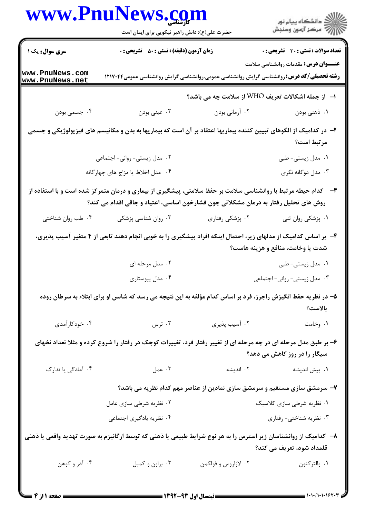|                                    | www.PnuNews.com                                                                                                                                                                                              |                                                                           | الاد دانشگاه پيام نور<br>  /> مرکز آزمون وسنجش |  |
|------------------------------------|--------------------------------------------------------------------------------------------------------------------------------------------------------------------------------------------------------------|---------------------------------------------------------------------------|------------------------------------------------|--|
|                                    | حضرت علی(ع): دانش راهبر نیکویی برای ایمان است                                                                                                                                                                |                                                                           |                                                |  |
| سری سوال: یک ۱ س                   | <b>زمان آزمون (دقیقه) : تستی : 50 ٪ تشریحی : 0</b>                                                                                                                                                           |                                                                           | <b>تعداد سوالات : تستی : 30 ٪ تشریحی : 0</b>   |  |
| www.PnuNews.com<br>www.PnuNews.net | <b>رشته تحصیلی/کد درس:</b> روانشناسی گرایش روانشناسی عمومی،روانشناسی گرایش روانشناسی عمومی۱۲۱۷۰۴۴                                                                                                            |                                                                           | <b>عنـــوان درس:</b> مقدمات روانشناسی سلامت    |  |
|                                    |                                                                                                                                                                                                              | ا− از جمله اشکالات تعریف WHO از سلامت چه می باشد؟                         |                                                |  |
| ۰۴ جسمي بودن                       | ۰۳ عینی بودن                                                                                                                                                                                                 | ۰۲ آرمانی بودن                                                            | ۰۱ ذهنی بودن                                   |  |
|                                    | ۲– در کدامیک از الگوهای تبیین کننده بیماریها اعتقاد بر آن است که بیماریها به بدن و مکانیسم های فیزیولوژیکی و جسمی                                                                                            |                                                                           | مرتبط است؟                                     |  |
|                                    | ۰۲ مدل زیستی- روانی- اجتماعی                                                                                                                                                                                 |                                                                           | ۰۱ مدل زیستی-طبی                               |  |
|                                    | ۰۴ مدل اخلاط یا مزاج های چهار گانه                                                                                                                                                                           |                                                                           | ۰۳ مدل دوگانه نگری                             |  |
|                                    | <b>۳</b> - گدام حیطه مرتبط با روانشناسی سلامت بر حفظ سلامتی، پیشگیری از بیماری و درمان متمرکز شده است و با استفاده از<br>روش های تحلیل رفتار به درمان مشکلاتی چون فشارخون اساسی، اعتیاد و چاقی اقدام می کند؟ |                                                                           |                                                |  |
| ۰۴ طب روان شناختی                  | ۰۳ روان شناسی پزشکی                                                                                                                                                                                          | ۰۲ پزشکی رفتاری                                                           | ۰۱ پزشکی روان تنی                              |  |
|                                    | ۴- بر اساس کدامیک از مدلهای زیر، احتمال اینکه افراد پیشگیری را به خوبی انجام دهند تابعی از ۴ متغیر آسیب پذیری،                                                                                               |                                                                           | شدت یا وخامت، منافع و هزینه هاست؟              |  |
|                                    | ۰۲ مدل مرحله ای                                                                                                                                                                                              |                                                                           | ۰۱ مدل زیستی-طبی                               |  |
|                                    | ۰۴ مدل پیوستاری                                                                                                                                                                                              |                                                                           | ۰۳ مدل زیستی- روانی- اجتماعی                   |  |
|                                    | ۵– در نظریه حفظ انگیزش راجرز، فرد بر اساس کدام مؤلفه به این نتیجه می رسد که شانس او برای ابتلاء به سرطان روده                                                                                                |                                                                           | بالاست؟                                        |  |
| ۰۴ خودکارآمدی                      | ۰۳ ترس                                                                                                                                                                                                       | ۰۲ آسیب پذیری                                                             | ۰۱ وخامت                                       |  |
|                                    | ۶- بر طبق مدل مرحله ای در چه مرحله ای از تغییر رفتار فرد، تغییرات کوچک در رفتار را شروع کرده و مثلا تعداد نخهای                                                                                              |                                                                           | سیگار را در روز کاهش می دهد؟                   |  |
| ۰۴ آمادگی یا تدارک                 | ۰۳ عمل                                                                                                                                                                                                       | ۰۲ اندیشه                                                                 | ۰۱ پیش اندیشه                                  |  |
|                                    |                                                                                                                                                                                                              | ۷- سرمشق سازی مستقیم و سرمشق سازی نمادین از عناصر مهم کدام نظریه می باشد؟ |                                                |  |
| ۰۲ نظریه شرطی سازی عامل            |                                                                                                                                                                                                              |                                                                           | ۰۱ نظریه شرطی سازی کلاسیک                      |  |
|                                    | ۰۴ نظریه یادگیری اجتماعی                                                                                                                                                                                     |                                                                           | ۰۳ نظریه شناختی- رفتاری                        |  |
|                                    | ۸– کدامیک از روانشناسان زیر استرس را به هر نوع شرایط طبیعی یا ذهنی که توسط ارگانیزم به صورت تهدید واقعی یا ذهنی                                                                                              |                                                                           | قلمداد شود، تعریف می کند؟                      |  |
| ۰۴ آدر و کوهن                      | ۰۳ براون و کمپل                                                                                                                                                                                              | ۰۲ لازاروس و فولکمن                                                       |                                                |  |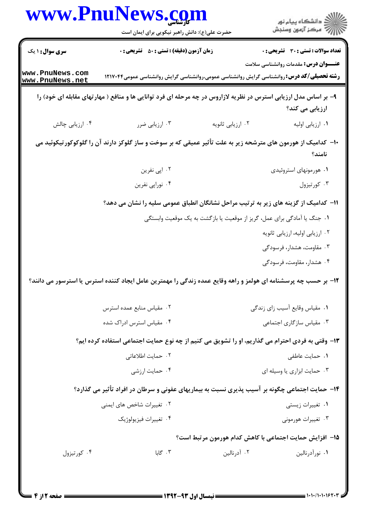|                                    | www.PnuNews.com                                    |                                                                                                                                                   | ِ<br>∭ دانشڪاه پيام نور<br>∭ مرڪز آزمون وسنڊش |  |
|------------------------------------|----------------------------------------------------|---------------------------------------------------------------------------------------------------------------------------------------------------|-----------------------------------------------|--|
|                                    | حضرت علی(ع): دانش راهبر نیکویی برای ایمان است      |                                                                                                                                                   |                                               |  |
| <b>سری سوال : ۱ یک</b>             | <b>زمان آزمون (دقیقه) : تستی : 50 ٪ تشریحی : 0</b> | تعداد سوالات : تستى : 30 ٪ تشريحي : 0                                                                                                             |                                               |  |
| www.PnuNews.com<br>www.PnuNews.net |                                                    | <b>عنـــوان درس:</b> مقدمات روانشناسی سلامت<br><b>رشته تحصیلی/کد درس: ر</b> وانشناسی گرایش روانشناسی عمومی،روانشناسی گرایش روانشناسی عمومی۱۲۱۷۰۴۴ |                                               |  |
|                                    |                                                    | ۹- بر اساس مدل ارزیابی استرس در نظریه لازاروس در چه مرحله ای فرد توانایی ها و منافع ( مهارتهای مقابله ای خود) را<br>ارزیابی می کند؟               |                                               |  |
| ۰۴ ارزیابی چالش                    | ۰۳ ارزیابی ضرر                                     | ٠٢ ارزيابي ثانويه                                                                                                                                 | ٠١ ارزيابي اوليه                              |  |
|                                    |                                                    | ∙ا− کدامیک از هورمون های مترشحه زیر به علت تأثیر عمیقی که بر سوخت و ساز گلوکز دارند آن را گلوکوکورتیکوئید می                                      | نامند؟                                        |  |
|                                    | ۰۲ اپی نفرین                                       | ۰۱ هورمونهای استروئیدی                                                                                                                            |                                               |  |
|                                    | ۰۴ نوراپي نفرين                                    |                                                                                                                                                   | ۰۳ کورتیزول                                   |  |
|                                    |                                                    | 1۱– کدامیک از گزینه های زیر به ترتیب مراحل نشانگان انطباق عمومی سلیه را نشان می دهد؟                                                              |                                               |  |
|                                    |                                                    | ۰۱ جنگ یا آمادگی برای عمل، گریز از موقعیت یا بازگشت به یک موقعیت وابستگی                                                                          |                                               |  |
|                                    |                                                    | ۰۲ ارزیابی اولیه، ارزیابی ثانویه                                                                                                                  |                                               |  |
|                                    |                                                    | ۰۳ مقاومت، هشدار، فرسودگی                                                                                                                         |                                               |  |
|                                    |                                                    | ۰۴ هشدار، مقاومت، فرسودگی                                                                                                                         |                                               |  |
|                                    |                                                    | ۱ <mark>۲</mark> بر حسب چه پرسشنامه ای هولمز و راهه وقایع عمده زندگی را مهمترین عامل ایجاد کننده استرس یا استرسور می دانند؟                       |                                               |  |
|                                    | ۰۲ مقیاس منابع عمده استرس                          | ۰۱ مقیاس وقایع آسیب زای زندگی                                                                                                                     |                                               |  |
|                                    | ۰۴ مقیاس استرس ادراک شده                           | ۰۳ مقیاس سازگاری اجتماعی                                                                                                                          |                                               |  |
|                                    |                                                    | ۱۳- وقتی به فردی احترام می گذاریم، او را تشویق می کنیم از چه نوع حمایت اجتماعی استفاده کرده ایم؟                                                  |                                               |  |
|                                    | ۰۲ حمایت اطلاعاتی                                  |                                                                                                                                                   | ۰۱ حمایت عاطفی                                |  |
|                                    | ۰۴ حمایت ارزشی                                     | ۰۳ حمایت ابزاری یا وسیله ای                                                                                                                       |                                               |  |
|                                    |                                                    | ۱۴- حمایت اجتماعی چگونه بر آسیب پذیری نسبت به بیماریهای عفونی و سرطان در افراد تأثیر می گذارد؟                                                    |                                               |  |
|                                    | ۰۲ تغییرات شاخص های ایمنی                          | ۰۱ تغییرات زیستی                                                                                                                                  |                                               |  |
|                                    | ۰۴ تغييرات فيزيولوژيک                              | ۰۳ تغییرات هورمونی                                                                                                                                |                                               |  |
|                                    |                                                    | 1۵– افزایش حمایت اجتماعی با کاهش کدام هورمون مرتبط است؟                                                                                           |                                               |  |
|                                    |                                                    |                                                                                                                                                   |                                               |  |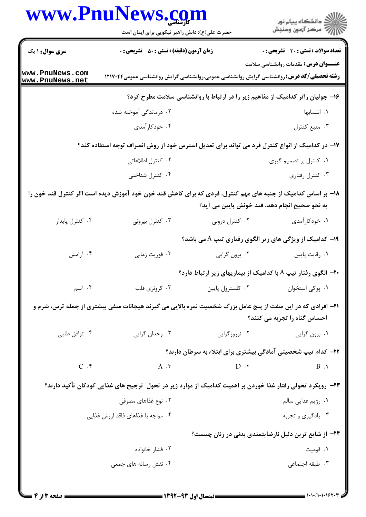|                                    | www.PnuNews.com<br>حضرت علی(ع): دانش راهبر نیکویی برای ایمان است                                                    |                                               | ڪ دانشڪاه پيام نور<br>/> مرڪز آزمون وسنڊش                                      |  |
|------------------------------------|---------------------------------------------------------------------------------------------------------------------|-----------------------------------------------|--------------------------------------------------------------------------------|--|
|                                    |                                                                                                                     |                                               |                                                                                |  |
| سری سوال : ۱ یک                    | <b>زمان آزمون (دقیقه) : تستی : 50 ٪ تشریحی : 0</b>                                                                  |                                               | <b>تعداد سوالات : تستي : 30 ٪ تشريحي : 0</b>                                   |  |
| www.PnuNews.com<br>www.PnuNews.net | <b>رشته تحصیلی/کد درس: ر</b> وانشناسی گرایش روانشناسی عمومی،روانشناسی گرایش روانشناسی عمومی۱۲۱۷۰۴۴                  |                                               | <b>عنـــوان درس:</b> مقدمات روانشناسی سلامت                                    |  |
|                                    |                                                                                                                     |                                               | ۱۶- جولیان راتر کدامیک از مفاهیم زیر را در ارتباط با روانشناسی سلامت مطرح کرد؟ |  |
|                                    | ۰۲ درماندگی آموخته شده                                                                                              |                                               | ۰۱ انتسابها                                                                    |  |
|                                    | ۰۴ خودکارآمدی                                                                                                       |                                               | ۰۳ منبع کنترل                                                                  |  |
|                                    | ۱۷– در کدامیک از انواع کنترل فرد می تواند برای تعدیل استرس خود از روش انصراف توجه استفاده کند؟                      |                                               |                                                                                |  |
|                                    | ۰۲ کنترل اطلاعاتی                                                                                                   |                                               | ۰۱ کنترل بر تصمیم گیری                                                         |  |
|                                    | ۰۴ کنترل شناختی                                                                                                     |                                               | ۰۳ کنترل رفتاری                                                                |  |
|                                    | ۱۸– بر اساس کدامیک از جنبه های مهم کنترل، فردی که برای کاهش قند خون خود آموزش دیده است اگر کنترل قند خون را         | به نحو صحیح انجام دهد، قند خونش پایین می آید؟ |                                                                                |  |
| ۰۴ کنترل پایدار                    | ۰۳ کنترل بیرونی                                                                                                     | ۰۲ کنترل درونی                                | ۰۱ خودکارآمدی                                                                  |  |
|                                    |                                                                                                                     |                                               | ۱۹- کدامیک از ویژگی های زیر الگوی رفتاری تیپ A می باشد؟                        |  |
| ۰۴ أرامش                           | ۰۳ فوريت زماني                                                                                                      | ۰۲ برون گرایی                                 | ٠١ رقابت پايين                                                                 |  |
|                                    |                                                                                                                     |                                               | <b>۲۰</b> الگوی رفتار تیپ A با کدامیک از بیماریهای زیر ارتباط دارد؟            |  |
| ۰۴ آسم                             | ۰۳ کرونری قلب                                                                                                       | ٠٢ كلسترول پايين                              | ٠١. پوکی استخوان                                                               |  |
|                                    | <b>۲۱</b> - افرادی که در این صفت از پنج عامل بزرگ شخصیت نمره بالایی می گیرند هیجانات منفی بیشتری از جمله ترس، شرم و |                                               | احساس گناه را تجربه می کنند؟                                                   |  |
| ۰۴ توافق طلبي                      | ۰۳ وجدان گرایی                                                                                                      | ۰۲ نوروزگرایی                                 | ۰۱ برون گرايي                                                                  |  |
|                                    |                                                                                                                     |                                               | ۲۲- کدام تیپ شخصیتی آمادگی بیشتری برای ابتلاء به سرطان دارند؟                  |  |
| $C.$ ۴                             | $A \cdot \mathbf{r}$                                                                                                | $D \cdot Y$                                   | $\mathbf{B}$ .                                                                 |  |
|                                    | ۲۳– رویکرد تحولی رفتار غذا خوردن بر اهمیت کدامیک از موارد زیر در تحول ترجیح های غذایی کودکان تأکید دارند؟           |                                               |                                                                                |  |
|                                    | ۰۲ نوع غذاهای مصرفی                                                                                                 |                                               | ٠١ رژيم غذايي سالم                                                             |  |
|                                    | ۰۴ مواجه با غذاهای فاقد ارزش غذایی                                                                                  |                                               | ۰۳ يادگيري و تجربه                                                             |  |
|                                    |                                                                                                                     |                                               | ۲۴− از شایع ترین دلیل نارضایتمندی بدنی در زنان چیست؟                           |  |
|                                    | ۰۲ فشار خانواده                                                                                                     |                                               | ۰۱ قومیت                                                                       |  |
|                                    | ۰۴ نقش رسانه های جمعی                                                                                               |                                               | ۰۳ طبقه اجتماعی                                                                |  |

×